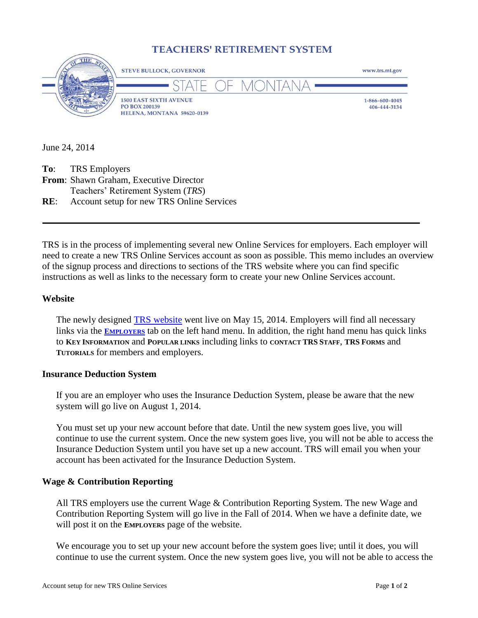# **TEACHERS' RETIREMENT SYSTEM**



June 24, 2014

| <b>To:</b> TRS Employers                             |
|------------------------------------------------------|
| <b>From:</b> Shawn Graham, Executive Director        |
| Teachers' Retirement System (TRS)                    |
| <b>RE:</b> Account setup for new TRS Online Services |

TRS is in the process of implementing several new Online Services for employers. Each employer will need to create a new TRS Online Services account as soon as possible. This memo includes an overview of the signup process and directions to sections of the TRS website where you can find specific instructions as well as links to the necessary form to create your new Online Services account.

### **Website**

The newly designed [TRS website](http://www.trs.mt.gov/) went live on May 15, 2014. Employers will find all necessary links via the **E[MPLOYERS](http://www.trs.mt.gov/trs-info/employers)** tab on the left hand menu. In addition, the right hand menu has quick links to **KEY INFORMATION** and **POPULAR LINKS** including links to **CONTACT TRS STAFF**, **TRS FORMS** and **TUTORIALS** for members and employers.

#### **Insurance Deduction System**

If you are an employer who uses the Insurance Deduction System, please be aware that the new system will go live on August 1, 2014.

You must set up your new account before that date. Until the new system goes live, you will continue to use the current system. Once the new system goes live, you will not be able to access the Insurance Deduction System until you have set up a new account. TRS will email you when your account has been activated for the Insurance Deduction System.

#### **Wage & Contribution Reporting**

All TRS employers use the current Wage & Contribution Reporting System. The new Wage and Contribution Reporting System will go live in the Fall of 2014. When we have a definite date, we will post it on the **EMPLOYERS** page of the website.

We encourage you to set up your new account before the system goes live; until it does, you will continue to use the current system. Once the new system goes live, you will not be able to access the